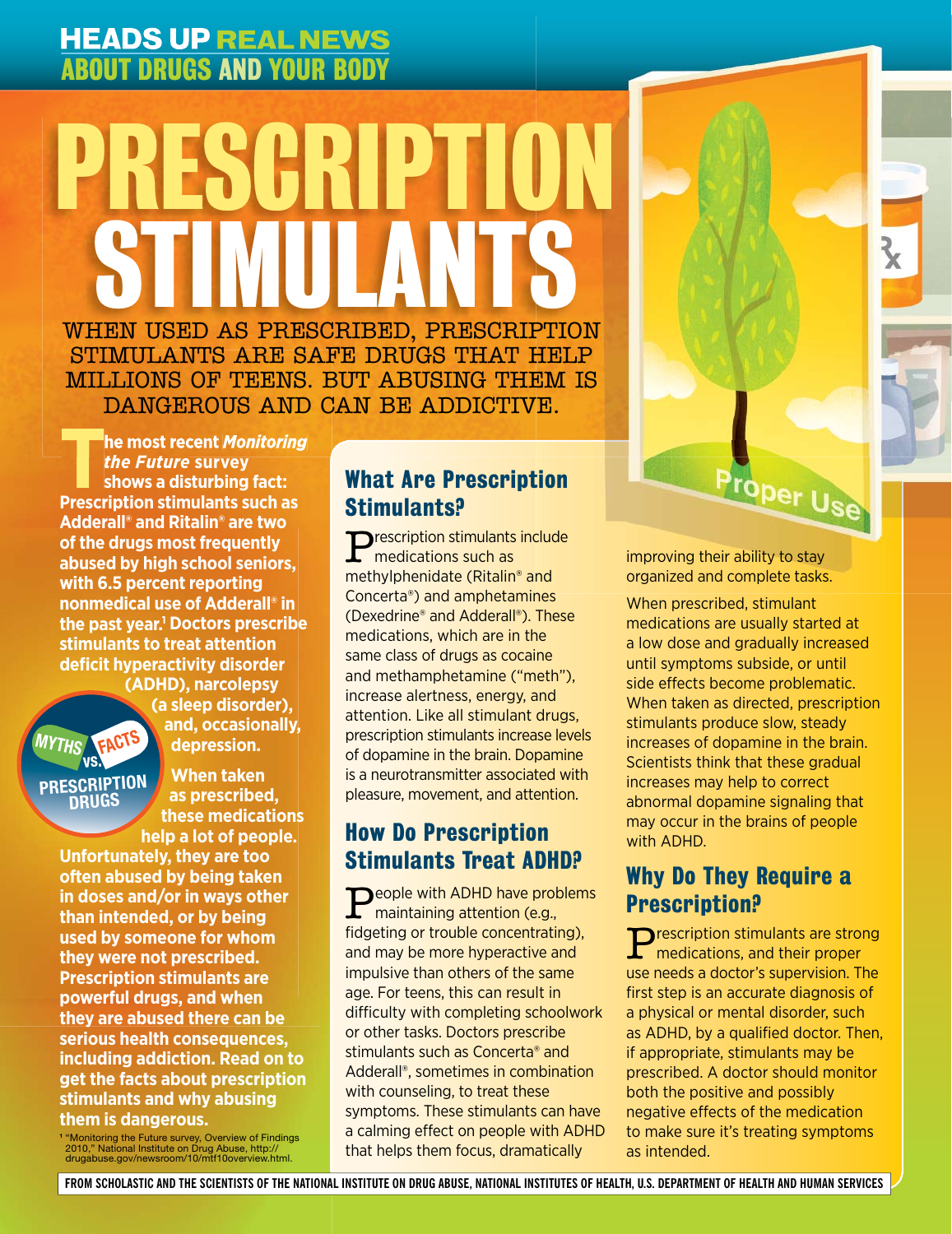# **HEADS UP REAL NEWS** ABOUT DRUGS AND YOUR BODY

# WHEN USED AS PRESCRIBED, PRESCRIPTION STIMULANTS ARE SAFE DRUGS THAT HELP PRESCRIPTION STIMULANTS STIMULANTS ARE SAFE DRUGS THAT HELP MILLIONS OF TEENS. BUT ABUSING THEM IS DANGEROUS AND CAN BE ADDICTIVE.

**The most recent** *Monitoring the Future* **survey shows a disturbing fact: Prescription stimulants such as Adderall® and Ritalin® are two of the drugs most frequently abused by high school seniors, with 6.5 percent reporting nonmedical use of Adderall® in the past year.1 Doctors prescribe stimulants to treat attention defi cit hyperactivity disorder** 

**(ADHD), narcolepsy (a sleep disorder), and, occasionally, depression. FACTS**

**PRESCRIPTION DRUGS vs.**

**MYTHS**

**When taken as prescribed, these medications help a lot of people.** 

**Unfortunately, they are too often abused by being taken in doses and/or in ways other than intended, or by being used by someone for whom they were not prescribed. Prescription stimulants are powerful drugs, and when they are abused there can be serious health consequences, including addiction. Read on to get the facts about prescription stimulants and why abusing them is dangerous.**

**1** "Monitoring the Future survey, Overview of Findings 2010," National Institute on Drug Abuse, http:// drugabuse.gov/newsroom/10/mtf10overview.html.

#### What Are Prescription Stimulants?

Prescription stimulants include medications such as methylphenidate (Ritalin® and Concerta®) and amphetamines (Dexedrine® and Adderall®). These medications, which are in the same class of drugs as cocaine and methamphetamine ("meth"), increase alertness, energy, and attention. Like all stimulant drugs, prescription stimulants increase levels of dopamine in the brain. Dopamine is a neurotransmitter associated with pleasure, movement, and attention.

## How Do Prescription Stimulants Treat ADHD?

**P**eople with ADHD have problems<br>maintaining attention (e.g., fidgeting or trouble concentrating), and may be more hyperactive and impulsive than others of the same age. For teens, this can result in difficulty with completing schoolwork or other tasks. Doctors prescribe stimulants such as Concerta® and Adderall®, sometimes in combination with counseling, to treat these symptoms. These stimulants can have a calming effect on people with ADHD that helps them focus, dramatically

improving their ability to stay organized and complete tasks.

Proper Use

HEADS UP REAL NEWS

When prescribed, stimulant medications are usually started at a low dose and gradually increased until symptoms subside, or until side effects become problematic. When taken as directed, prescription stimulants produce slow, steady increases of dopamine in the brain. Scientists think that these gradual increases may help to correct abnormal dopamine signaling that may occur in the brains of people with ADHD.

### Why Do They Require a Prescription?

**P**rescription stimulants are strong medications, and their proper use needs a doctor's supervision. The first step is an accurate diagnosis of a physical or mental disorder, such as ADHD, by a qualified doctor. Then, if appropriate, stimulants may be prescribed. A doctor should monitor both the positive and possibly negative effects of the medication to make sure it's treating symptoms as intended.

**FROM SCHOLASTIC AND THE SCIENTISTS OF THE NATIONAL INSTITUTE ON DRUG ABUSE, NATIONAL INSTITUTES OF HEALTH, U.S. DEPARTMENT OF HEALTH AND HUMAN SERVICES**